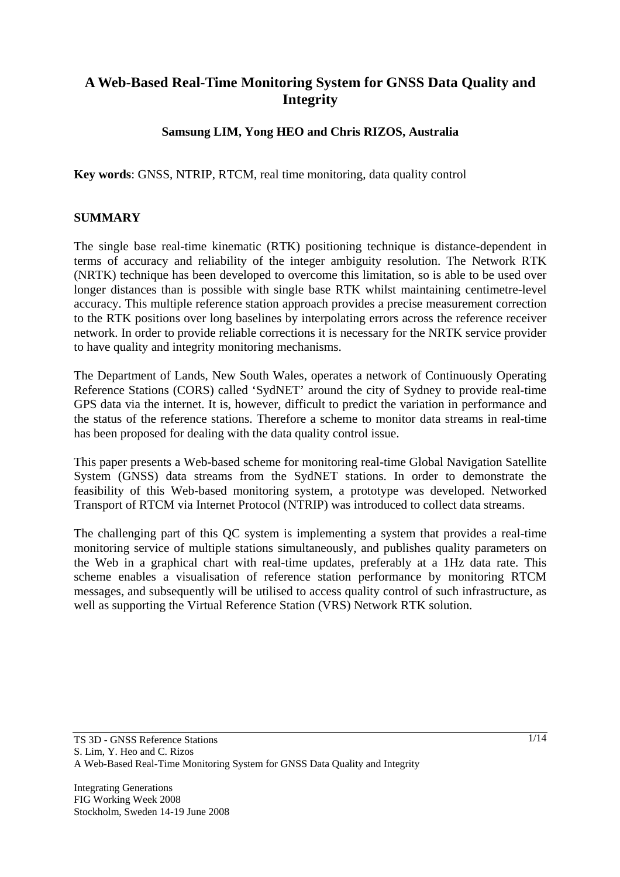# **A Web-Based Real-Time Monitoring System for GNSS Data Quality and Integrity**

### **Samsung LIM, Yong HEO and Chris RIZOS, Australia**

**Key words**: GNSS, NTRIP, RTCM, real time monitoring, data quality control

#### **SUMMARY**

The single base real-time kinematic (RTK) positioning technique is distance-dependent in terms of accuracy and reliability of the integer ambiguity resolution. The Network RTK (NRTK) technique has been developed to overcome this limitation, so is able to be used over longer distances than is possible with single base RTK whilst maintaining centimetre-level accuracy. This multiple reference station approach provides a precise measurement correction to the RTK positions over long baselines by interpolating errors across the reference receiver network. In order to provide reliable corrections it is necessary for the NRTK service provider to have quality and integrity monitoring mechanisms.

The Department of Lands, New South Wales, operates a network of Continuously Operating Reference Stations (CORS) called 'SydNET' around the city of Sydney to provide real-time GPS data via the internet. It is, however, difficult to predict the variation in performance and the status of the reference stations. Therefore a scheme to monitor data streams in real-time has been proposed for dealing with the data quality control issue.

This paper presents a Web-based scheme for monitoring real-time Global Navigation Satellite System (GNSS) data streams from the SydNET stations. In order to demonstrate the feasibility of this Web-based monitoring system, a prototype was developed. Networked Transport of RTCM via Internet Protocol (NTRIP) was introduced to collect data streams.

The challenging part of this QC system is implementing a system that provides a real-time monitoring service of multiple stations simultaneously, and publishes quality parameters on the Web in a graphical chart with real-time updates, preferably at a 1Hz data rate. This scheme enables a visualisation of reference station performance by monitoring RTCM messages, and subsequently will be utilised to access quality control of such infrastructure, as well as supporting the Virtual Reference Station (VRS) Network RTK solution.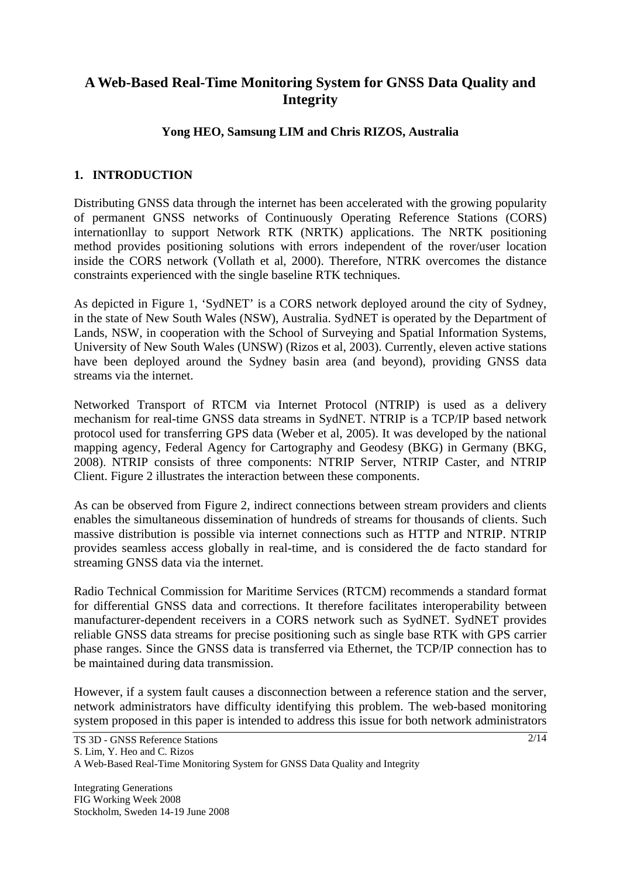# **A Web-Based Real-Time Monitoring System for GNSS Data Quality and Integrity**

### **Yong HEO, Samsung LIM and Chris RIZOS, Australia**

### **1. INTRODUCTION**

Distributing GNSS data through the internet has been accelerated with the growing popularity of permanent GNSS networks of Continuously Operating Reference Stations (CORS) internationllay to support Network RTK (NRTK) applications. The NRTK positioning method provides positioning solutions with errors independent of the rover/user location inside the CORS network (Vollath et al, 2000). Therefore, NTRK overcomes the distance constraints experienced with the single baseline RTK techniques.

As depicted in Figure 1, 'SydNET' is a CORS network deployed around the city of Sydney, in the state of New South Wales (NSW), Australia. SydNET is operated by the Department of Lands, NSW, in cooperation with the School of Surveying and Spatial Information Systems, University of New South Wales (UNSW) (Rizos et al, 2003). Currently, eleven active stations have been deployed around the Sydney basin area (and beyond), providing GNSS data streams via the internet.

Networked Transport of RTCM via Internet Protocol (NTRIP) is used as a delivery mechanism for real-time GNSS data streams in SydNET. NTRIP is a TCP/IP based network protocol used for transferring GPS data (Weber et al, 2005). It was developed by the national mapping agency, Federal Agency for Cartography and Geodesy (BKG) in Germany (BKG, 2008). NTRIP consists of three components: NTRIP Server, NTRIP Caster, and NTRIP Client. Figure 2 illustrates the interaction between these components.

As can be observed from Figure 2, indirect connections between stream providers and clients enables the simultaneous dissemination of hundreds of streams for thousands of clients. Such massive distribution is possible via internet connections such as HTTP and NTRIP. NTRIP provides seamless access globally in real-time, and is considered the de facto standard for streaming GNSS data via the internet.

Radio Technical Commission for Maritime Services (RTCM) recommends a standard format for differential GNSS data and corrections. It therefore facilitates interoperability between manufacturer-dependent receivers in a CORS network such as SydNET. SydNET provides reliable GNSS data streams for precise positioning such as single base RTK with GPS carrier phase ranges. Since the GNSS data is transferred via Ethernet, the TCP/IP connection has to be maintained during data transmission.

However, if a system fault causes a disconnection between a reference station and the server, network administrators have difficulty identifying this problem. The web-based monitoring system proposed in this paper is intended to address this issue for both network administrators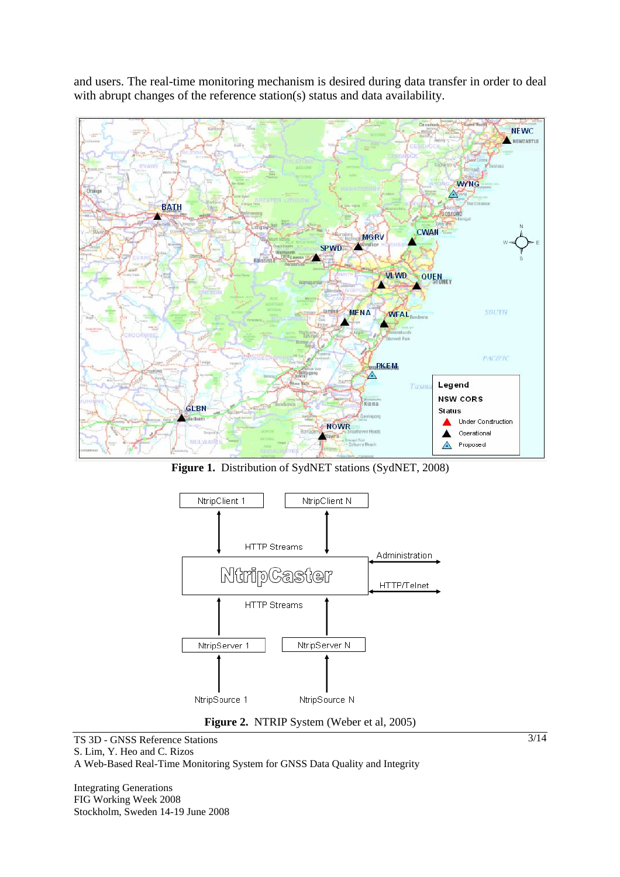and users. The real-time monitoring mechanism is desired during data transfer in order to deal with abrupt changes of the reference station(s) status and data availability.



**Figure 1.** Distribution of SydNET stations (SydNET, 2008)



**Figure 2.** NTRIP System (Weber et al, 2005)

TS 3D - GNSS Reference Stations S. Lim, Y. Heo and C. Rizos A Web-Based Real-Time Monitoring System for GNSS Data Quality and Integrity

Integrating Generations FIG Working Week 2008 Stockholm, Sweden 14-19 June 2008 3/14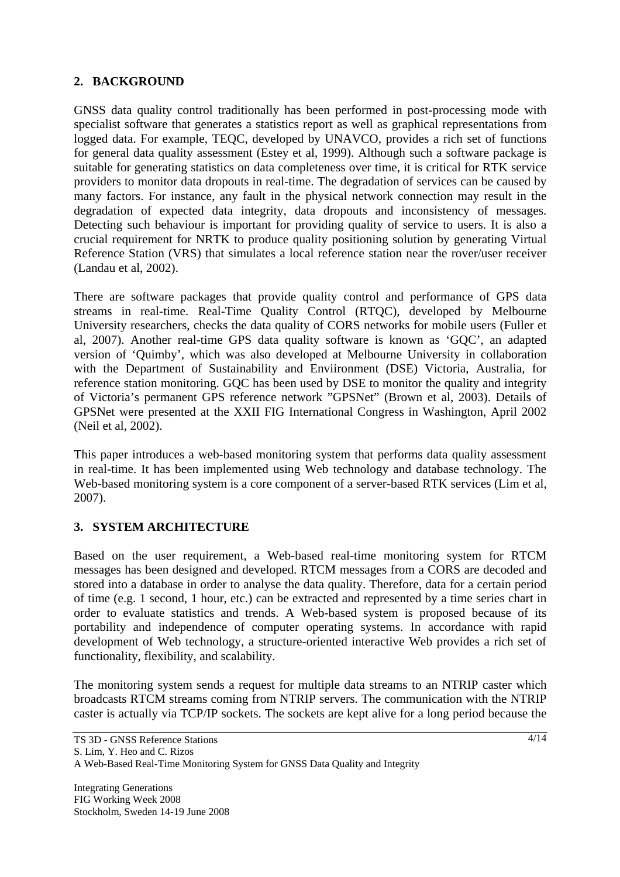## **2. BACKGROUND**

GNSS data quality control traditionally has been performed in post-processing mode with specialist software that generates a statistics report as well as graphical representations from logged data. For example, TEQC, developed by UNAVCO, provides a rich set of functions for general data quality assessment (Estey et al, 1999). Although such a software package is suitable for generating statistics on data completeness over time, it is critical for RTK service providers to monitor data dropouts in real-time. The degradation of services can be caused by many factors. For instance, any fault in the physical network connection may result in the degradation of expected data integrity, data dropouts and inconsistency of messages. Detecting such behaviour is important for providing quality of service to users. It is also a crucial requirement for NRTK to produce quality positioning solution by generating Virtual Reference Station (VRS) that simulates a local reference station near the rover/user receiver (Landau et al, 2002).

There are software packages that provide quality control and performance of GPS data streams in real-time. Real-Time Quality Control (RTQC), developed by Melbourne University researchers, checks the data quality of CORS networks for mobile users (Fuller et al, 2007). Another real-time GPS data quality software is known as 'GQC', an adapted version of 'Quimby', which was also developed at Melbourne University in collaboration with the Department of Sustainability and Enviironment (DSE) Victoria, Australia, for reference station monitoring. GQC has been used by DSE to monitor the quality and integrity of Victoria's permanent GPS reference network "GPSNet" (Brown et al, 2003). Details of GPSNet were presented at the XXII FIG International Congress in Washington, April 2002 (Neil et al, 2002).

This paper introduces a web-based monitoring system that performs data quality assessment in real-time. It has been implemented using Web technology and database technology. The Web-based monitoring system is a core component of a server-based RTK services (Lim et al, 2007).

### **3. SYSTEM ARCHITECTURE**

Based on the user requirement, a Web-based real-time monitoring system for RTCM messages has been designed and developed. RTCM messages from a CORS are decoded and stored into a database in order to analyse the data quality. Therefore, data for a certain period of time (e.g. 1 second, 1 hour, etc.) can be extracted and represented by a time series chart in order to evaluate statistics and trends. A Web-based system is proposed because of its portability and independence of computer operating systems. In accordance with rapid development of Web technology, a structure-oriented interactive Web provides a rich set of functionality, flexibility, and scalability.

The monitoring system sends a request for multiple data streams to an NTRIP caster which broadcasts RTCM streams coming from NTRIP servers. The communication with the NTRIP caster is actually via TCP/IP sockets. The sockets are kept alive for a long period because the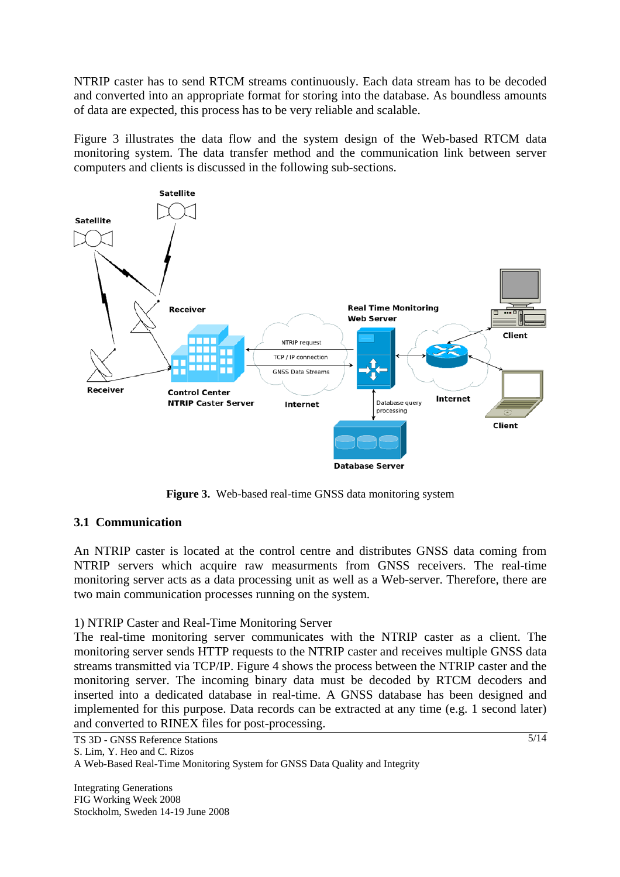NTRIP caster has to send RTCM streams continuously. Each data stream has to be decoded and converted into an appropriate format for storing into the database. As boundless amounts of data are expected, this process has to be very reliable and scalable.

Figure 3 illustrates the data flow and the system design of the Web-based RTCM data monitoring system. The data transfer method and the communication link between server computers and clients is discussed in the following sub-sections.



**Figure 3.** Web-based real-time GNSS data monitoring system

## **3.1 Communication**

An NTRIP caster is located at the control centre and distributes GNSS data coming from NTRIP servers which acquire raw measurments from GNSS receivers. The real-time monitoring server acts as a data processing unit as well as a Web-server. Therefore, there are two main communication processes running on the system.

1) NTRIP Caster and Real-Time Monitoring Server

The real-time monitoring server communicates with the NTRIP caster as a client. The monitoring server sends HTTP requests to the NTRIP caster and receives multiple GNSS data streams transmitted via TCP/IP. Figure 4 shows the process between the NTRIP caster and the monitoring server. The incoming binary data must be decoded by RTCM decoders and inserted into a dedicated database in real-time. A GNSS database has been designed and implemented for this purpose. Data records can be extracted at any time (e.g. 1 second later) and converted to RINEX files for post-processing.

TS 3D - GNSS Reference Stations S. Lim, Y. Heo and C. Rizos A Web-Based Real-Time Monitoring System for GNSS Data Quality and Integrity

Integrating Generations FIG Working Week 2008 Stockholm, Sweden 14-19 June 2008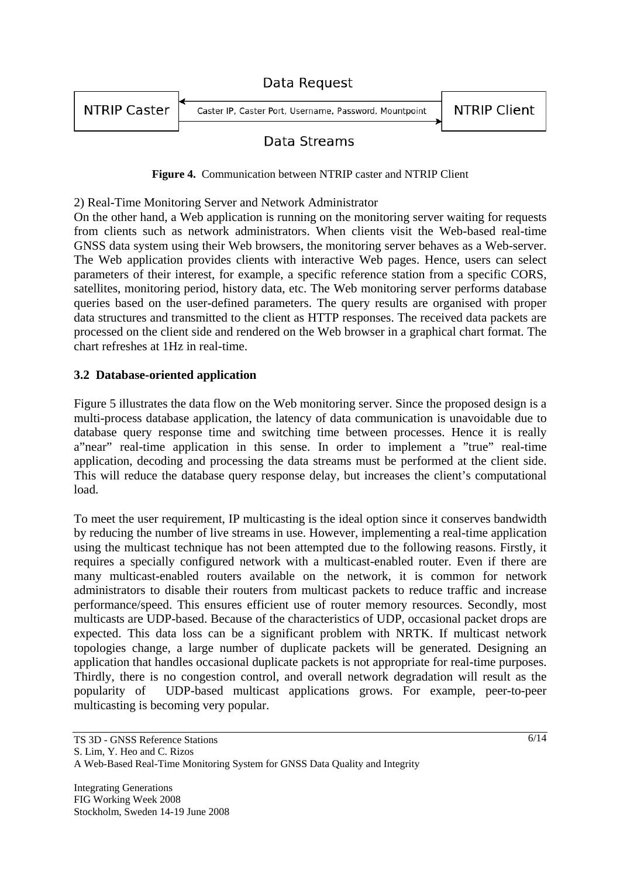|                     | Data Request                                           |                     |
|---------------------|--------------------------------------------------------|---------------------|
| <b>NTRIP Caster</b> | Caster IP, Caster Port, Username, Password, Mountpoint | <b>NTRIP Client</b> |

## Data Streams

**Figure 4.** Communication between NTRIP caster and NTRIP Client

2) Real-Time Monitoring Server and Network Administrator

On the other hand, a Web application is running on the monitoring server waiting for requests from clients such as network administrators. When clients visit the Web-based real-time GNSS data system using their Web browsers, the monitoring server behaves as a Web-server. The Web application provides clients with interactive Web pages. Hence, users can select parameters of their interest, for example, a specific reference station from a specific CORS, satellites, monitoring period, history data, etc. The Web monitoring server performs database queries based on the user-defined parameters. The query results are organised with proper data structures and transmitted to the client as HTTP responses. The received data packets are processed on the client side and rendered on the Web browser in a graphical chart format. The chart refreshes at 1Hz in real-time.

### **3.2 Database-oriented application**

Figure 5 illustrates the data flow on the Web monitoring server. Since the proposed design is a multi-process database application, the latency of data communication is unavoidable due to database query response time and switching time between processes. Hence it is really a"near" real-time application in this sense. In order to implement a "true" real-time application, decoding and processing the data streams must be performed at the client side. This will reduce the database query response delay, but increases the client's computational load.

To meet the user requirement, IP multicasting is the ideal option since it conserves bandwidth by reducing the number of live streams in use. However, implementing a real-time application using the multicast technique has not been attempted due to the following reasons. Firstly, it requires a specially configured network with a multicast-enabled router. Even if there are many multicast-enabled routers available on the network, it is common for network administrators to disable their routers from multicast packets to reduce traffic and increase performance/speed. This ensures efficient use of router memory resources. Secondly, most multicasts are UDP-based. Because of the characteristics of UDP, occasional packet drops are expected. This data loss can be a significant problem with NRTK. If multicast network topologies change, a large number of duplicate packets will be generated. Designing an application that handles occasional duplicate packets is not appropriate for real-time purposes. Thirdly, there is no congestion control, and overall network degradation will result as the popularity of UDP-based multicast applications grows. For example, peer-to-peer multicasting is becoming very popular.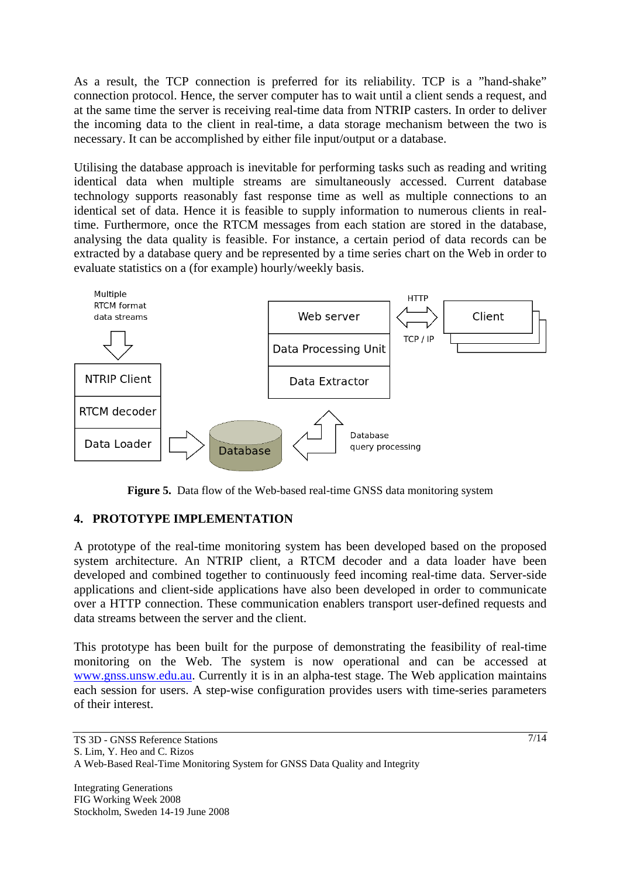As a result, the TCP connection is preferred for its reliability. TCP is a "hand-shake" connection protocol. Hence, the server computer has to wait until a client sends a request, and at the same time the server is receiving real-time data from NTRIP casters. In order to deliver the incoming data to the client in real-time, a data storage mechanism between the two is necessary. It can be accomplished by either file input/output or a database.

Utilising the database approach is inevitable for performing tasks such as reading and writing identical data when multiple streams are simultaneously accessed. Current database technology supports reasonably fast response time as well as multiple connections to an identical set of data. Hence it is feasible to supply information to numerous clients in realtime. Furthermore, once the RTCM messages from each station are stored in the database, analysing the data quality is feasible. For instance, a certain period of data records can be extracted by a database query and be represented by a time series chart on the Web in order to evaluate statistics on a (for example) hourly/weekly basis.



Figure 5. Data flow of the Web-based real-time GNSS data monitoring system

## **4. PROTOTYPE IMPLEMENTATION**

A prototype of the real-time monitoring system has been developed based on the proposed system architecture. An NTRIP client, a RTCM decoder and a data loader have been developed and combined together to continuously feed incoming real-time data. Server-side applications and client-side applications have also been developed in order to communicate over a HTTP connection. These communication enablers transport user-defined requests and data streams between the server and the client.

This prototype has been built for the purpose of demonstrating the feasibility of real-time monitoring on the Web. The system is now operational and can be accessed at www.gnss.unsw.edu.au. Currently it is in an alpha-test stage. The Web application maintains each session for users. A step-wise configuration provides users with time-series parameters of their interest.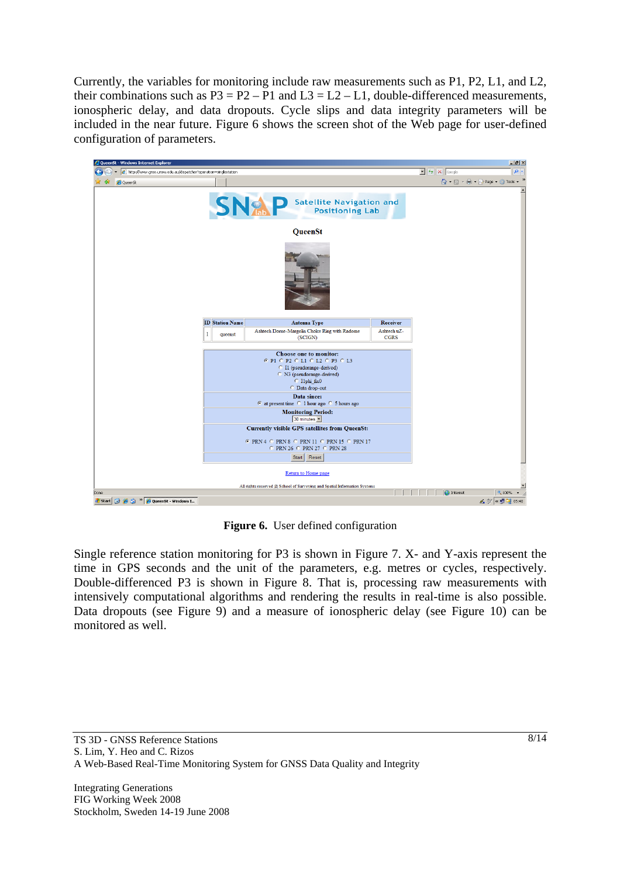Currently, the variables for monitoring include raw measurements such as P1, P2, L1, and L2, their combinations such as  $P3 = P2 - P1$  and  $L3 = L2 - L1$ , double-differenced measurements, ionospheric delay, and data dropouts. Cycle slips and data integrity parameters will be included in the near future. Figure 6 shows the screen shot of the Web page for user-defined configuration of parameters.



**Figure 6.** User defined configuration

Single reference station monitoring for P3 is shown in Figure 7. X- and Y-axis represent the time in GPS seconds and the unit of the parameters, e.g. metres or cycles, respectively. Double-differenced P3 is shown in Figure 8. That is, processing raw measurements with intensively computational algorithms and rendering the results in real-time is also possible. Data dropouts (see Figure 9) and a measure of ionospheric delay (see Figure 10) can be monitored as well.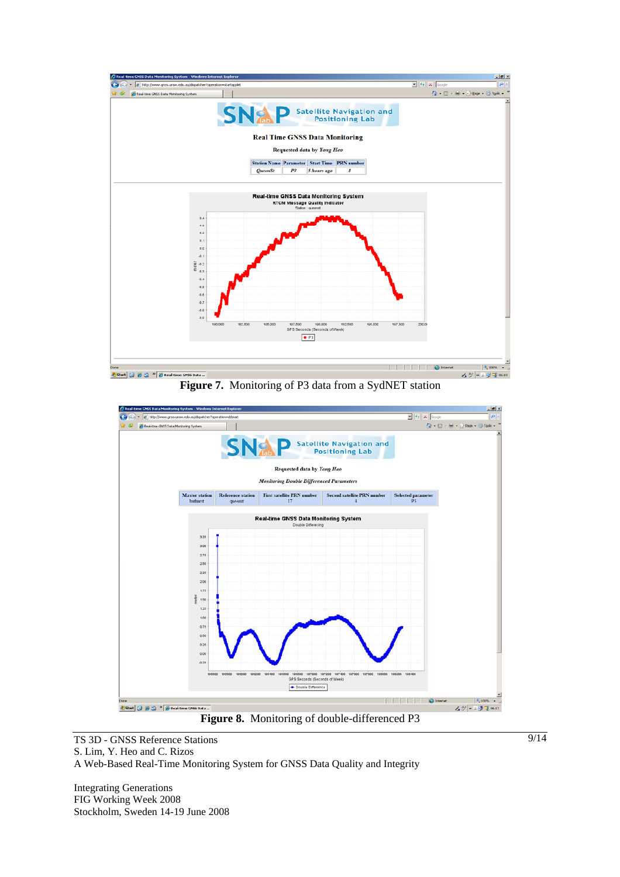

**Figure 7.** Monitoring of P3 data from a SydNET station



**Figure 8.** Monitoring of double-differenced P3

TS 3D - GNSS Reference Stations S. Lim, Y. Heo and C. Rizos A Web-Based Real-Time Monitoring System for GNSS Data Quality and Integrity

Integrating Generations FIG Working Week 2008 Stockholm, Sweden 14-19 June 2008 9/14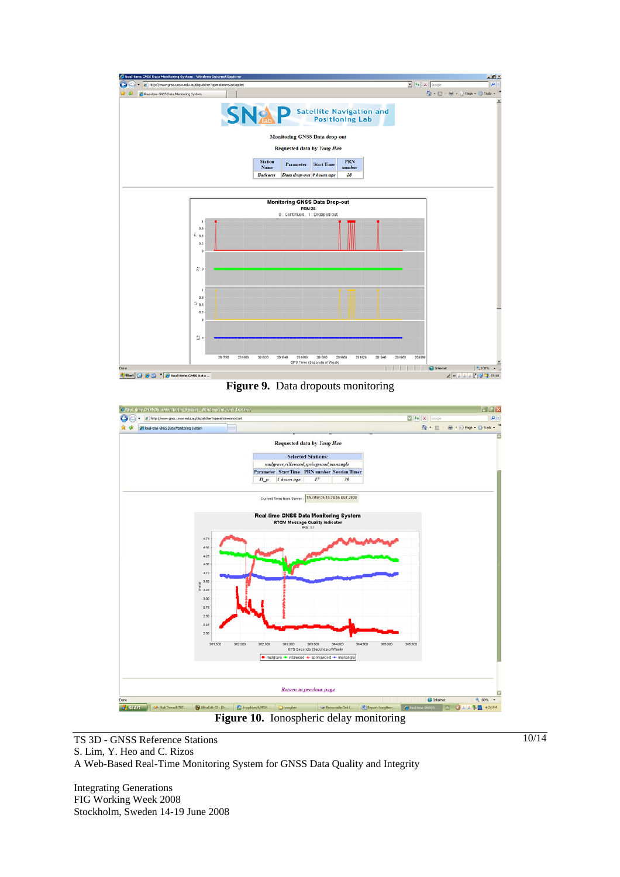

**Figure 9.** Data dropouts monitoring



**Figure 10.** Ionospheric delay monitoring

TS 3D - GNSS Reference Stations S. Lim, Y. Heo and C. Rizos A Web-Based Real-Time Monitoring System for GNSS Data Quality and Integrity

Integrating Generations FIG Working Week 2008 Stockholm, Sweden 14-19 June 2008 10/14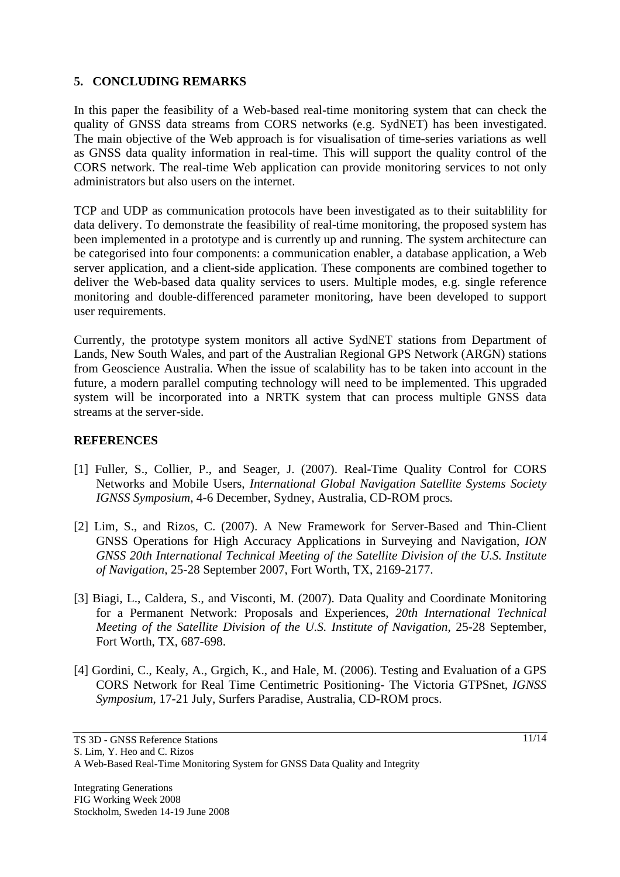### **5. CONCLUDING REMARKS**

In this paper the feasibility of a Web-based real-time monitoring system that can check the quality of GNSS data streams from CORS networks (e.g. SydNET) has been investigated. The main objective of the Web approach is for visualisation of time-series variations as well as GNSS data quality information in real-time. This will support the quality control of the CORS network. The real-time Web application can provide monitoring services to not only administrators but also users on the internet.

TCP and UDP as communication protocols have been investigated as to their suitablility for data delivery. To demonstrate the feasibility of real-time monitoring, the proposed system has been implemented in a prototype and is currently up and running. The system architecture can be categorised into four components: a communication enabler, a database application, a Web server application, and a client-side application. These components are combined together to deliver the Web-based data quality services to users. Multiple modes, e.g. single reference monitoring and double-differenced parameter monitoring, have been developed to support user requirements.

Currently, the prototype system monitors all active SydNET stations from Department of Lands, New South Wales, and part of the Australian Regional GPS Network (ARGN) stations from Geoscience Australia. When the issue of scalability has to be taken into account in the future, a modern parallel computing technology will need to be implemented. This upgraded system will be incorporated into a NRTK system that can process multiple GNSS data streams at the server-side.

### **REFERENCES**

- [1] Fuller, S., Collier, P., and Seager, J. (2007). Real-Time Quality Control for CORS Networks and Mobile Users, *International Global Navigation Satellite Systems Society IGNSS Symposium*, 4-6 December, Sydney, Australia, CD-ROM procs*.*
- [2] Lim, S., and Rizos, C. (2007). A New Framework for Server-Based and Thin-Client GNSS Operations for High Accuracy Applications in Surveying and Navigation, *ION GNSS 20th International Technical Meeting of the Satellite Division of the U.S. Institute of Navigation*, 25-28 September 2007, Fort Worth, TX, 2169-2177.
- [3] Biagi, L., Caldera, S., and Visconti, M. (2007). Data Quality and Coordinate Monitoring for a Permanent Network: Proposals and Experiences, *20th International Technical Meeting of the Satellite Division of the U.S. Institute of Navigation*, 25-28 September, Fort Worth, TX, 687-698.
- [4] Gordini, C., Kealy, A., Grgich, K., and Hale, M. (2006). Testing and Evaluation of a GPS CORS Network for Real Time Centimetric Positioning- The Victoria GTPSnet*, IGNSS Symposium*, 17-21 July, Surfers Paradise, Australia, CD-ROM procs.

A Web-Based Real-Time Monitoring System for GNSS Data Quality and Integrity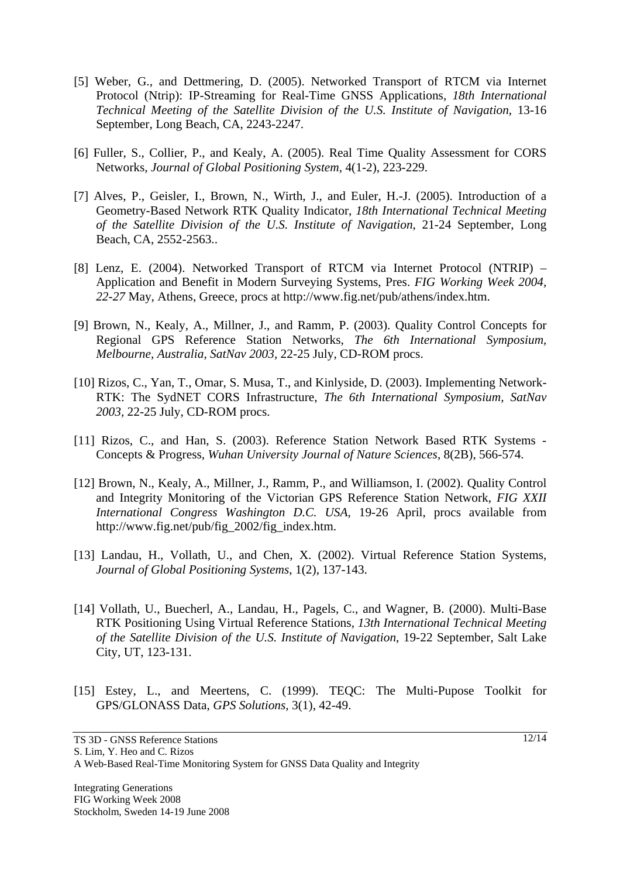- [5] Weber, G., and Dettmering, D. (2005). Networked Transport of RTCM via Internet Protocol (Ntrip): IP-Streaming for Real-Time GNSS Applications, *18th International Technical Meeting of the Satellite Division of the U.S. Institute of Navigation*, 13-16 September, Long Beach, CA, 2243-2247.
- [6] Fuller, S., Collier, P., and Kealy, A. (2005). Real Time Quality Assessment for CORS Networks, *Journal of Global Positioning System,* 4(1-2), 223-229.
- [7] Alves, P., Geisler, I., Brown, N., Wirth, J., and Euler, H.-J. (2005). Introduction of a Geometry-Based Network RTK Quality Indicator, *18th International Technical Meeting of the Satellite Division of the U.S. Institute of Navigation*, 21-24 September, Long Beach, CA, 2552-2563..
- [8] Lenz, E. (2004). Networked Transport of RTCM via Internet Protocol (NTRIP) Application and Benefit in Modern Surveying Systems, Pres. *FIG Working Week 2004, 22-27* May, Athens, Greece, procs at http://www.fig.net/pub/athens/index.htm.
- [9] Brown, N., Kealy, A., Millner, J., and Ramm, P. (2003). Quality Control Concepts for Regional GPS Reference Station Networks, *The 6th International Symposium, Melbourne, Australia, SatNav 2003,* 22-25 July, CD-ROM procs.
- [10] Rizos, C., Yan, T., Omar, S. Musa, T., and Kinlyside, D. (2003). Implementing Network-RTK: The SydNET CORS Infrastructure, *The 6th International Symposium, SatNav 2003,* 22-25 July, CD-ROM procs.
- [11] Rizos, C., and Han, S. (2003). Reference Station Network Based RTK Systems -Concepts & Progress, *Wuhan University Journal of Nature Sciences*, 8(2B), 566-574.
- [12] Brown, N., Kealy, A., Millner, J., Ramm, P., and Williamson, I. (2002). Quality Control and Integrity Monitoring of the Victorian GPS Reference Station Network, *FIG XXII International Congress Washington D.C. USA*, 19-26 April, procs available from http://www.fig.net/pub/fig\_2002/fig\_index.htm.
- [13] Landau, H., Vollath, U., and Chen, X. (2002). Virtual Reference Station Systems, *Journal of Global Positioning Systems*, 1(2), 137-143.
- [14] Vollath, U., Buecherl, A., Landau, H., Pagels, C., and Wagner, B. (2000). Multi-Base RTK Positioning Using Virtual Reference Stations, *13th International Technical Meeting of the Satellite Division of the U.S. Institute of Navigation*, 19-22 September, Salt Lake City, UT, 123-131.
- [15] Estey, L., and Meertens, C. (1999). TEQC: The Multi-Pupose Toolkit for GPS/GLONASS Data, *GPS Solutions*, 3(1), 42-49.

A Web-Based Real-Time Monitoring System for GNSS Data Quality and Integrity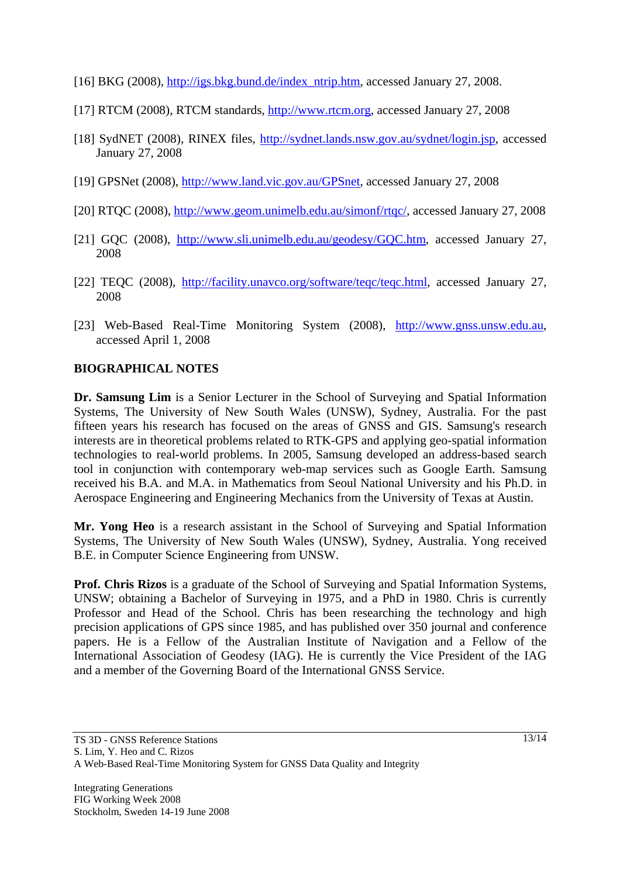- [16] BKG (2008), http://igs.bkg.bund.de/index\_ntrip.htm, accessed January 27, 2008.
- [17] RTCM (2008), RTCM standards, http://www.rtcm.org, accessed January 27, 2008
- [18] SydNET (2008), RINEX files, http://sydnet.lands.nsw.gov.au/sydnet/login.jsp, accessed January 27, 2008
- [19] GPSNet (2008), http://www.land.vic.gov.au/GPSnet, accessed January 27, 2008
- [20] RTQC (2008), http://www.geom.unimelb.edu.au/simonf/rtqc/, accessed January 27, 2008
- [21] GQC (2008), http://www.sli.unimelb.edu.au/geodesy/GQC.htm, accessed January 27, 2008
- [22] TEQC (2008), http://facility.unavco.org/software/teqc/teqc.html, accessed January 27, 2008
- [23] Web-Based Real-Time Monitoring System (2008), http://www.gnss.unsw.edu.au, accessed April 1, 2008

#### **BIOGRAPHICAL NOTES**

**Dr. Samsung Lim** is a Senior Lecturer in the School of Surveying and Spatial Information Systems, The University of New South Wales (UNSW), Sydney, Australia. For the past fifteen years his research has focused on the areas of GNSS and GIS. Samsung's research interests are in theoretical problems related to RTK-GPS and applying geo-spatial information technologies to real-world problems. In 2005, Samsung developed an address-based search tool in conjunction with contemporary web-map services such as Google Earth. Samsung received his B.A. and M.A. in Mathematics from Seoul National University and his Ph.D. in Aerospace Engineering and Engineering Mechanics from the University of Texas at Austin.

**Mr. Yong Heo** is a research assistant in the School of Surveying and Spatial Information Systems, The University of New South Wales (UNSW), Sydney, Australia. Yong received B.E. in Computer Science Engineering from UNSW.

**Prof. Chris Rizos** is a graduate of the School of Surveying and Spatial Information Systems, UNSW; obtaining a Bachelor of Surveying in 1975, and a PhD in 1980. Chris is currently Professor and Head of the School. Chris has been researching the technology and high precision applications of GPS since 1985, and has published over 350 journal and conference papers. He is a Fellow of the Australian Institute of Navigation and a Fellow of the International Association of Geodesy (IAG). He is currently the Vice President of the IAG and a member of the Governing Board of the International GNSS Service.